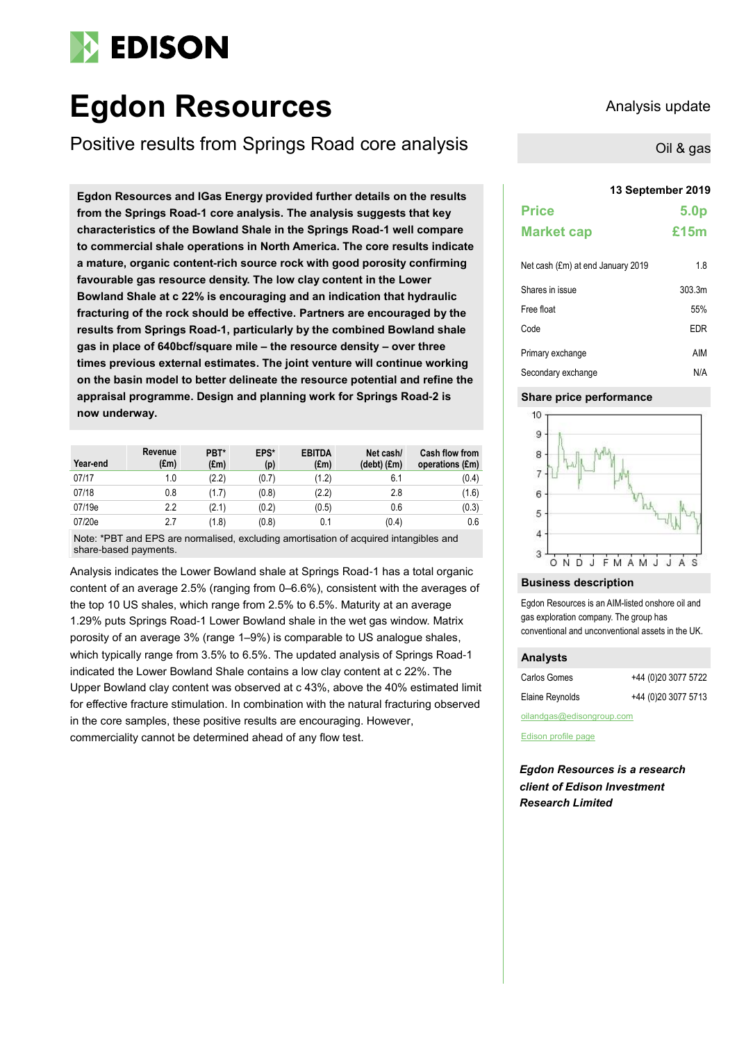# **EDISON**

# **Egdon Resources** Analysis update

Positive results from Springs Road core analysis

**13 September 2019 Egdon Resources and IGas Energy provided further details on the results from the Springs Road-1 core analysis. The analysis suggests that key characteristics of the Bowland Shale in the Springs Road-1 well compare to commercial shale operations in North America. The core results indicate a mature, organic content-rich source rock with good porosity confirming favourable gas resource density. The low clay content in the Lower Bowland Shale at c 22% is encouraging and an indication that hydraulic fracturing of the rock should be effective. Partners are encouraged by the results from Springs Road-1, particularly by the combined Bowland shale gas in place of 640bcf/square mile – the resource density – over three times previous external estimates. The joint venture will continue working on the basin model to better delineate the resource potential and refine the appraisal programme. Design and planning work for Springs Road-2 is now underway.**

| Year-end | Revenue<br>$(\text{Em})$ | PBT*<br>$(\text{Em})$ | EPS*<br>(p) | <b>EBITDA</b><br>$(\text{Em})$ | Net cash/<br>$(debt)$ $(fm)$ | <b>Cash flow from</b><br>operations (£m) |
|----------|--------------------------|-----------------------|-------------|--------------------------------|------------------------------|------------------------------------------|
| 07/17    | 1.0                      | (2.2)                 | (0.7)       | (1.2)                          | 6.1                          | (0.4)                                    |
| 07/18    | 0.8                      | (1.7)                 | (0.8)       | (2.2)                          | 2.8                          | (1.6)                                    |
| 07/19e   | 2.2                      | (2.1)                 | (0.2)       | (0.5)                          | 0.6                          | (0.3)                                    |
| 07/20e   | 2.7                      | (1.8)                 | (0.8)       | 0.1                            | (0.4)                        | 0.6                                      |

Note: \*PBT and EPS are normalised, excluding amortisation of acquired intangibles and share-based payments.

Analysis indicates the Lower Bowland shale at Springs Road-1 has a total organic content of an average 2.5% (ranging from 0–6.6%), consistent with the averages of the top 10 US shales, which range from 2.5% to 6.5%. Maturity at an average 1.29% puts Springs Road-1 Lower Bowland shale in the wet gas window. Matrix porosity of an average 3% (range 1–9%) is comparable to US analogue shales, which typically range from 3.5% to 6.5%. The updated analysis of Springs Road-1 indicated the Lower Bowland Shale contains a low clay content at c 22%. The Upper Bowland clay content was observed at c 43%, above the 40% estimated limit for effective fracture stimulation. In combination with the natural fracturing observed in the core samples, these positive results are encouraging. However, commerciality cannot be determined ahead of any flow test.

Oil & gas

| <b>Price</b>      | 5.0 <sub>p</sub> |
|-------------------|------------------|
| <b>Market cap</b> | £15m             |
|                   |                  |

| Net cash (£m) at end January 2019 | 1.8    |
|-----------------------------------|--------|
| Shares in issue                   | 303.3m |
| Free float                        | 55%    |
| Code                              | EDR    |
| Primary exchange                  | AIM    |
| Secondary exchange                | N/A    |

# **Share price performance**



# **Business description**

Egdon Resources is an AIM-listed onshore oil and gas exploration company. The group has conventional and unconventional assets in the UK.

# **Analysts**

| Carlos Gomes    | +44 (0)20 3077 5722 |
|-----------------|---------------------|
| Elaine Reynolds | +44 (0)20 3077 5713 |

[oilandgas@edisongroup.com](mailto:oilandgas@edisongroup.com)

[Edison profile page](https://www.edisongroup.com/company/egdon-resources/)

*Egdon Resources is a research client of Edison Investment Research Limited*